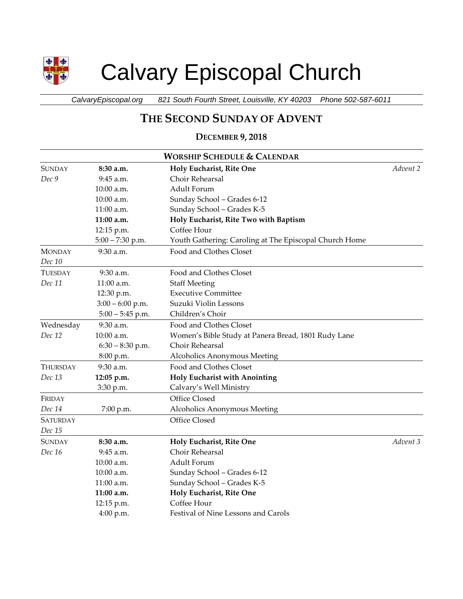

# Calvary Episcopal Church

*CalvaryEpiscopal.org 821 South Fourth Street, Louisville, KY 40203 Phone 502-587-6011*

# **THE SECOND SUNDAY OF ADVENT**

# **DECEMBER 9, 2018**

| <b>WORSHIP SCHEDULE &amp; CALENDAR</b> |                    |                                                        |          |  |
|----------------------------------------|--------------------|--------------------------------------------------------|----------|--|
| <b>SUNDAY</b>                          | 8:30 a.m.          | Holy Eucharist, Rite One                               | Advent 2 |  |
| Dec 9                                  | 9:45 a.m.          | Choir Rehearsal                                        |          |  |
|                                        | 10:00 a.m.         | Adult Forum                                            |          |  |
|                                        | 10:00 a.m.         | Sunday School - Grades 6-12                            |          |  |
|                                        | $11:00$ a.m.       | Sunday School - Grades K-5                             |          |  |
|                                        | 11:00 a.m.         | Holy Eucharist, Rite Two with Baptism                  |          |  |
|                                        | 12:15 p.m.         | Coffee Hour                                            |          |  |
|                                        | $5:00 - 7:30$ p.m. | Youth Gathering: Caroling at The Episcopal Church Home |          |  |
| <b>MONDAY</b>                          | 9:30 a.m.          | Food and Clothes Closet                                |          |  |
| Dec 10                                 |                    |                                                        |          |  |
| TUESDAY                                | 9:30 a.m.          | Food and Clothes Closet                                |          |  |
| Dec 11                                 | 11:00 a.m.         | <b>Staff Meeting</b>                                   |          |  |
|                                        | 12:30 p.m.         | <b>Executive Committee</b>                             |          |  |
|                                        | $3:00 - 6:00$ p.m. | Suzuki Violin Lessons                                  |          |  |
|                                        | $5:00 - 5:45$ p.m. | Children's Choir                                       |          |  |
| Wednesday                              | 9:30 a.m.          | Food and Clothes Closet                                |          |  |
| Dec 12                                 | 10:00 a.m.         | Women's Bible Study at Panera Bread, 1801 Rudy Lane    |          |  |
|                                        | $6:30 - 8:30$ p.m. | Choir Rehearsal                                        |          |  |
|                                        | 8:00 p.m.          | Alcoholics Anonymous Meeting                           |          |  |
| THURSDAY                               | 9:30 a.m.          | Food and Clothes Closet                                |          |  |
| Dec 13                                 | 12:05 p.m.         | Holy Eucharist with Anointing                          |          |  |
|                                        | 3:30 p.m.          | Calvary's Well Ministry                                |          |  |
| FRIDAY                                 |                    | Office Closed                                          |          |  |
| Dec 14                                 | 7:00 p.m.          | Alcoholics Anonymous Meeting                           |          |  |
| SATURDAY                               |                    | Office Closed                                          |          |  |
| Dec 15                                 |                    |                                                        |          |  |
| <b>SUNDAY</b>                          | 8:30 a.m.          | Holy Eucharist, Rite One                               | Advent 3 |  |
| Dec 16                                 | 9:45 a.m.          | Choir Rehearsal                                        |          |  |
|                                        | 10:00 a.m.         | Adult Forum                                            |          |  |
|                                        | 10:00 a.m.         | Sunday School - Grades 6-12                            |          |  |
|                                        | 11:00 a.m.         | Sunday School - Grades K-5                             |          |  |
|                                        | 11:00 a.m.         | Holy Eucharist, Rite One                               |          |  |
|                                        | 12:15 p.m.         | Coffee Hour                                            |          |  |
|                                        | 4:00 p.m.          | Festival of Nine Lessons and Carols                    |          |  |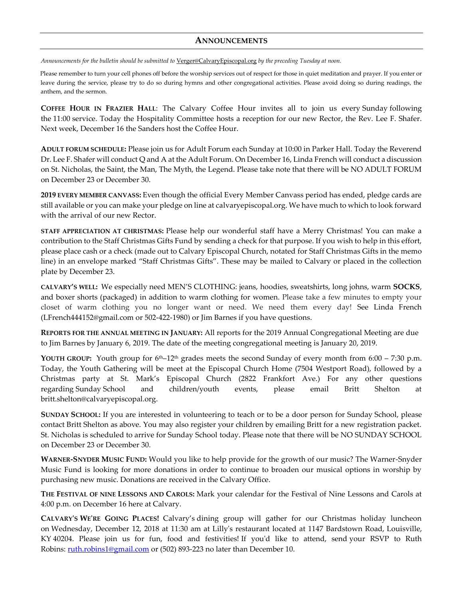#### **ANNOUNCEMENTS**

*Announcements for the bulletin should be submitted to* [Verger@CalvaryEpiscopal.org](mailto:Verger@CalvaryEpiscopal.org) *by the preceding Tuesday at noon.* 

Please remember to turn your cell phones off before the worship services out of respect for those in quiet meditation and prayer. If you enter or leave during the service, please try to do so during hymns and other congregational activities. Please avoid doing so during readings, the anthem, and the sermon.

**COFFEE HOUR IN FRAZIER HALL**: The Calvary Coffee Hour invites all to join us every Sunday following the 11:00 service. Today the Hospitality Committee hosts a reception for our new Rector, the Rev. Lee F. Shafer. Next week, December 16 the Sanders host the Coffee Hour.

**ADULT FORUM SCHEDULE:** Please join us for Adult Forum each Sunday at 10:00 in Parker Hall. Today the Reverend Dr. Lee F. Shafer will conduct Q and A at the Adult Forum. On December 16, Linda French will conduct a discussion on St. Nicholas, the Saint, the Man, The Myth, the Legend. Please take note that there will be NO ADULT FORUM on December 23 or December 30.

**2019 EVERY MEMBER CANVASS:** Even though the official Every Member Canvass period has ended, pledge cards are still available or you can make your pledge on line at calvaryepiscopal.org. We have much to which to look forward with the arrival of our new Rector.

**STAFF APPRECIATION AT CHRISTMAS:** Please help our wonderful staff have a Merry Christmas! You can make a contribution to the Staff Christmas Gifts Fund by sending a check for that purpose. If you wish to help in this effort, please place cash or a check (made out to Calvary Episcopal Church, notated for Staff Christmas Gifts in the memo line) in an envelope marked "Staff Christmas Gifts". These may be mailed to Calvary or placed in the collection plate by December 23.

**CALVARY'S WELL:** We especially need MEN'S CLOTHING: jeans, hoodies, sweatshirts, long johns, warm **SOCKS**, and boxer shorts (packaged) in addition to warm clothing for women. Please take a few minutes to empty your closet of warm clothing you no longer want or need. We need them every day! See Linda French [\(LFrench444152@gmail.com](mailto:LFrench444152@gmail.com) or 502-422-1980) or Jim Barnes if you have questions.

**REPORTS FOR THE ANNUAL MEETING IN JANUARY:** All reports for the 2019 Annual Congregational Meeting are due to Jim Barnes by January 6, 2019. The date of the meeting congregational meeting is January 20, 2019.

**YOUTH GROUP:** Youth group for  $6<sup>th</sup>$ –12<sup>th</sup> grades meets the second Sunday of every month from  $6:00 - 7:30$  p.m. Today, the Youth Gathering will be meet at the Episcopal Church Home (7504 Westport Road), followed by a Christmas party at St. Mark's Episcopal Church (2822 Frankfort Ave.) For any other questions regarding Sunday School and children/youth events, please email Britt Shelton at [britt.shelton@calvaryepiscopal.org.](mailto:britt.shelton@calvaryepiscopal.org)

**SUNDAY SCHOOL:** If you are interested in volunteering to teach or to be a door person for Sunday School, please contact Britt Shelton as above. You may also register your children by emailing Britt for a new registration packet. St. Nicholas is scheduled to arrive for Sunday School today. Please note that there will be NO SUNDAY SCHOOL on December 23 or December 30.

**WARNER-SNYDER MUSIC FUND:** Would you like to help provide for the growth of our music? The Warner-Snyder Music Fund is looking for more donations in order to continue to broaden our musical options in worship by purchasing new music. Donations are received in the Calvary Office.

**THE FESTIVAL OF NINE LESSONS AND CAROLS:** Mark your calendar for the Festival of Nine Lessons and Carols at 4:00 p.m. on December 16 here at Calvary.

**CALVARY'S WE'RE GOING PLACES!** Calvary's dining group will gather for our Christmas holiday luncheon on Wednesday, December 12, 2018 at 11:30 am at Lilly's restaurant located at 1147 Bardstown Road, Louisville, KY 40204. Please join us for fun, food and festivities! If you'd like to attend, send your RSVP to Ruth Robins: [ruth.robins1@gmail.com](mailto:ruth.robins1@gmail.com) or (502) 893-223 no later than December 10.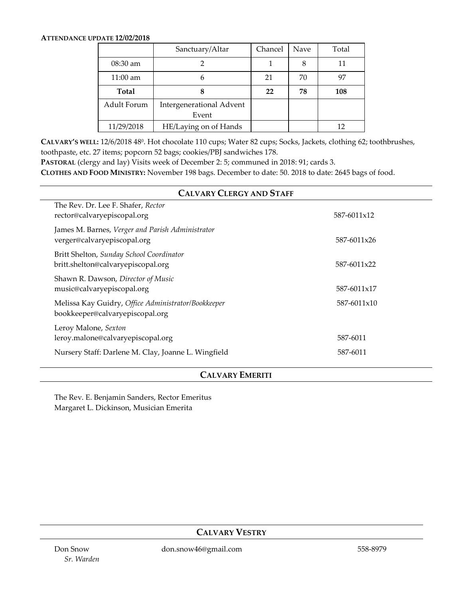#### **ATTENDANCE UPDATE 12/02/2018**

|                    | Sanctuary/Altar                   | Chancel | <b>Nave</b> | Total |
|--------------------|-----------------------------------|---------|-------------|-------|
| $08:30$ am         |                                   |         | 8           | 11    |
| $11:00 \text{ am}$ | 6                                 | 21      | 70          | 97    |
| <b>Total</b>       | 8                                 | 22      | 78          | 108   |
| Adult Forum        | Intergenerational Advent<br>Event |         |             |       |
| 11/29/2018         | HE/Laying on of Hands             |         |             | 12    |

**CALVARY'S WELL:** 12/6/2018 48<sup>0</sup>. Hot chocolate 110 cups; Water 82 cups; Socks, Jackets, clothing 62; toothbrushes, toothpaste, etc. 27 items; popcorn 52 bags; cookies/PBJ sandwiches 178.

**PASTORAL** (clergy and lay) Visits week of December 2: 5; communed in 2018: 91; cards 3.

**CLOTHES AND FOOD MINISTRY:** November 198 bags. December to date: 50. 2018 to date: 2645 bags of food.

| <b>CALVARY CLERGY AND STAFF</b>                                                        |             |  |  |  |  |
|----------------------------------------------------------------------------------------|-------------|--|--|--|--|
| The Rev. Dr. Lee F. Shafer, Rector<br>rector@calvaryepiscopal.org                      | 587-6011x12 |  |  |  |  |
| James M. Barnes, Verger and Parish Administrator<br>verger@calvaryepiscopal.org        | 587-6011x26 |  |  |  |  |
| Britt Shelton, Sunday School Coordinator<br>britt.shelton@calvaryepiscopal.org         | 587-6011x22 |  |  |  |  |
| Shawn R. Dawson, Director of Music<br>music@calvaryepiscopal.org                       | 587-6011x17 |  |  |  |  |
| Melissa Kay Guidry, Office Administrator/Bookkeeper<br>bookkeeper@calvaryepiscopal.org | 587-6011x10 |  |  |  |  |
| Leroy Malone, Sexton<br>leroy.malone@calvaryepiscopal.org                              | 587-6011    |  |  |  |  |
| Nursery Staff: Darlene M. Clay, Joanne L. Wingfield                                    | 587-6011    |  |  |  |  |

## **CALVARY EMERITI**

The Rev. E. Benjamin Sanders, Rector Emeritus Margaret L. Dickinson, Musician Emerita

## **CALVARY VESTRY**